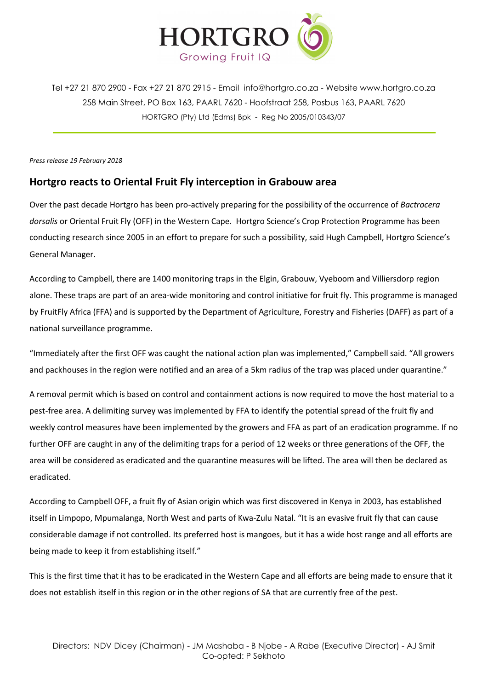

Tel +27 21 870 2900 - Fax +27 21 870 2915 - Email [info@hortgro.co.za](mailto:info@hortgro.co.za) - Website www.hortgro.co.za 258 Main Street, PO Box 163, PAARL 7620 - Hoofstraat 258, Posbus 163, PAARL 7620 HORTGRO (Pty) Ltd (Edms) Bpk - Reg No 2005/010343/07

*Press release 19 February 2018* 

## **Hortgro reacts to Oriental Fruit Fly interception in Grabouw area**

Over the past decade Hortgro has been pro-actively preparing for the possibility of the occurrence of *Bactrocera dorsalis* or Oriental Fruit Fly (OFF) in the Western Cape. Hortgro Science's Crop Protection Programme has been conducting research since 2005 in an effort to prepare for such a possibility, said Hugh Campbell, Hortgro Science's General Manager.

According to Campbell, there are 1400 monitoring traps in the Elgin, Grabouw, Vyeboom and Villiersdorp region alone. These traps are part of an area-wide monitoring and control initiative for fruit fly. This programme is managed by FruitFly Africa (FFA) and is supported by the Department of Agriculture, Forestry and Fisheries (DAFF) as part of a national surveillance programme.

"Immediately after the first OFF was caught the national action plan was implemented," Campbell said. "All growers and packhouses in the region were notified and an area of a 5km radius of the trap was placed under quarantine."

A removal permit which is based on control and containment actions is now required to move the host material to a pest-free area. A delimiting survey was implemented by FFA to identify the potential spread of the fruit fly and weekly control measures have been implemented by the growers and FFA as part of an eradication programme. If no further OFF are caught in any of the delimiting traps for a period of 12 weeks or three generations of the OFF, the area will be considered as eradicated and the quarantine measures will be lifted. The area will then be declared as eradicated.

According to Campbell OFF, a fruit fly of Asian origin which was first discovered in Kenya in 2003, has established itself in Limpopo, Mpumalanga, North West and parts of Kwa-Zulu Natal. "It is an evasive fruit fly that can cause considerable damage if not controlled. Its preferred host is mangoes, but it has a wide host range and all efforts are being made to keep it from establishing itself."

This is the first time that it has to be eradicated in the Western Cape and all efforts are being made to ensure that it does not establish itself in this region or in the other regions of SA that are currently free of the pest.